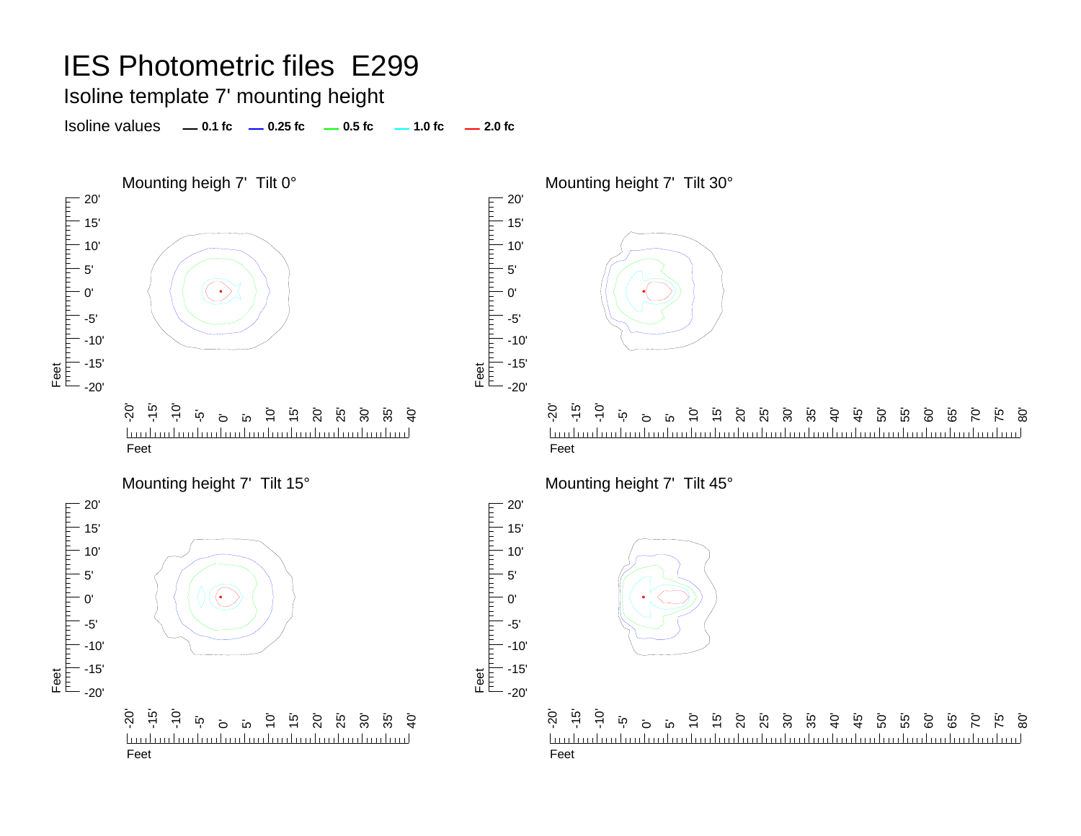Isoline template 7' mounting height

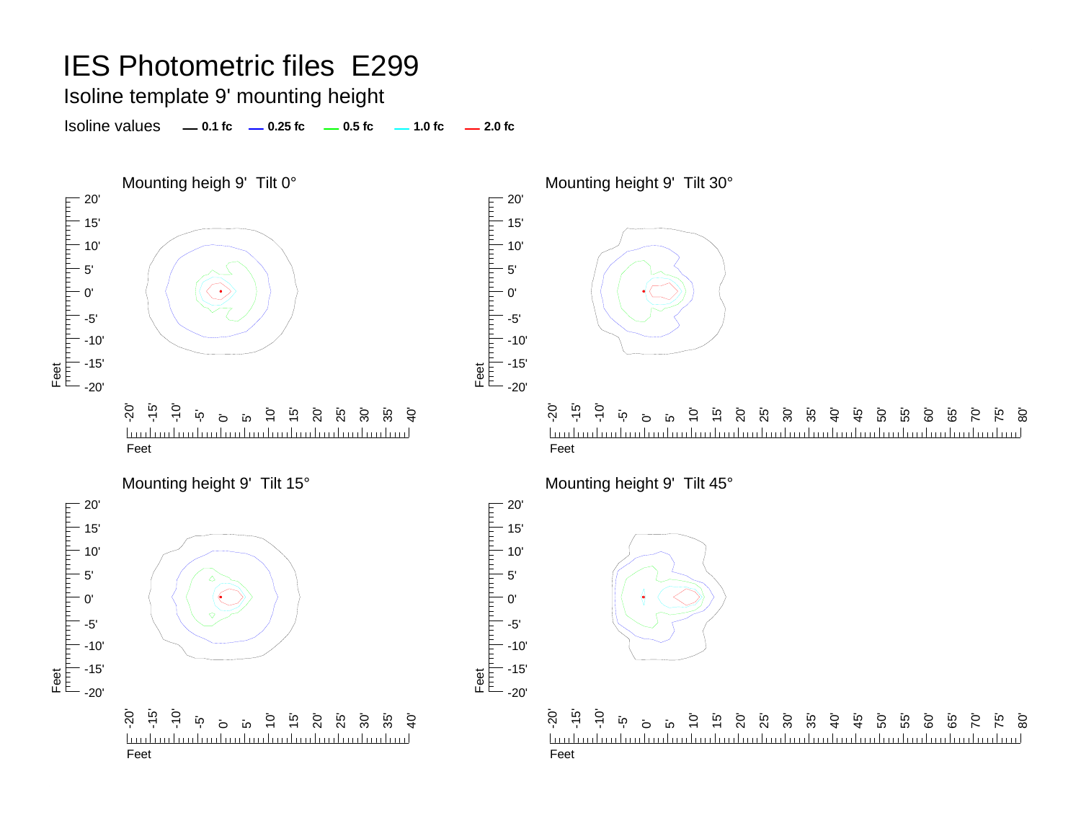Isoline template 9' mounting height

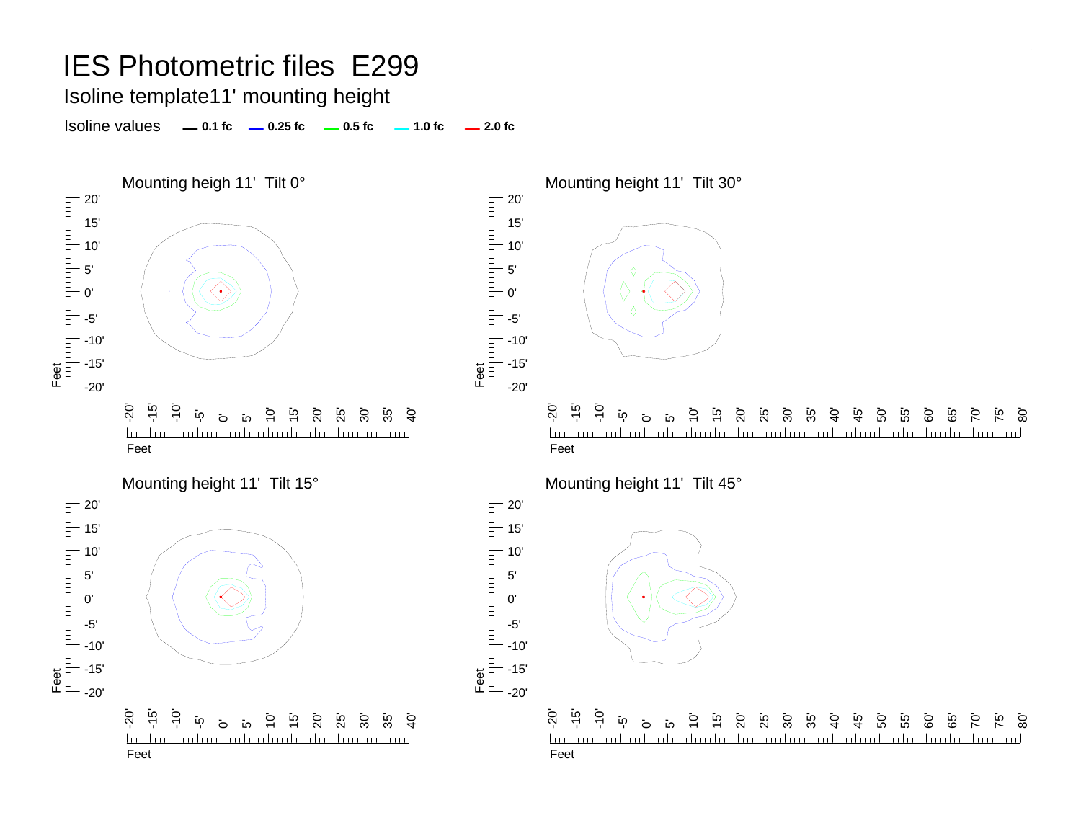Isoline template11' mounting height

Isoline values **0.1 fc 0.25 fc 0.5 fc 2.0 fc 1.0 fc**



60' 65' 70' 75' 80'

60' ة<br>6  $\overline{C}$ 75' 80'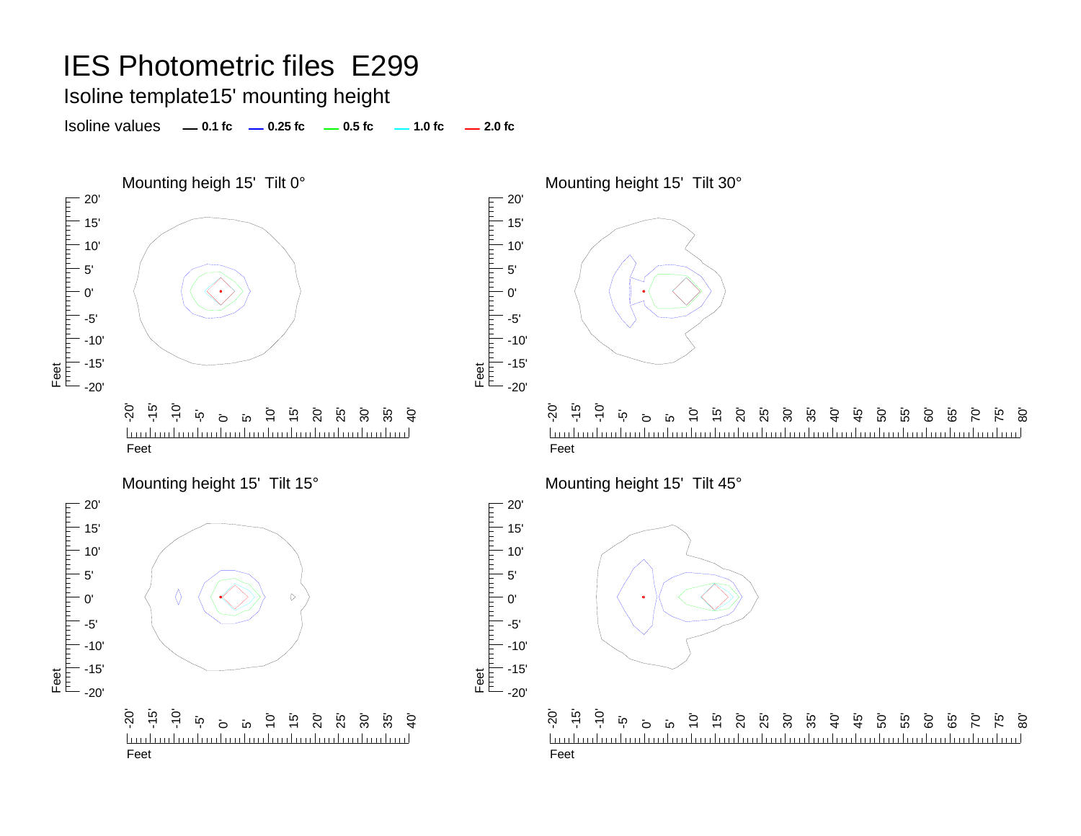#### Isoline template15' mounting height

Isoline values **0.1 fc 0.25 fc 0.5 fc 2.0 fc 1.0 fc**



20' 15' 10' 5' 0' -5'-10' -15'  $-20'$ 

> 20' 15' 10' 5' 0'

гранита

-5'



-20' -15' -10' 10' 15' 55'  $\overline{10}$  $\circ$ ន<br>ន ន ន ន 40' 45' 50' 60' 65' 80' ້ **ທ** 70' 75' հովստեւ Feet

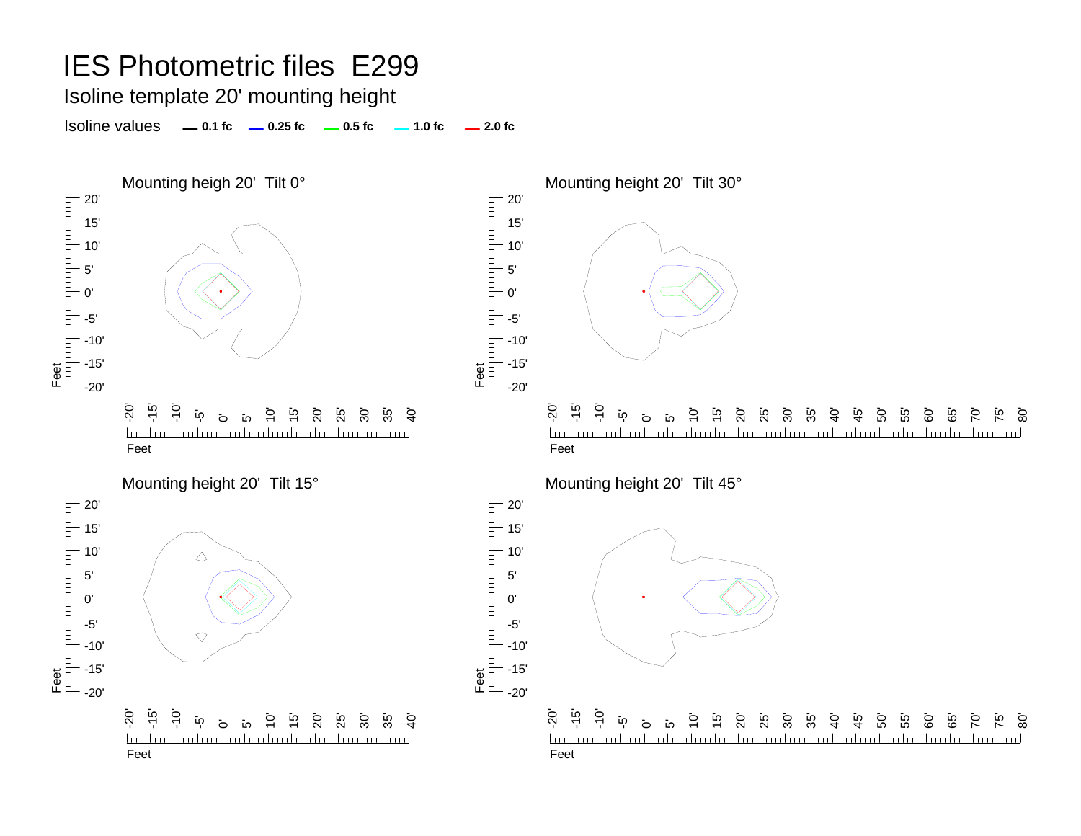#### Isoline template 20' mounting height

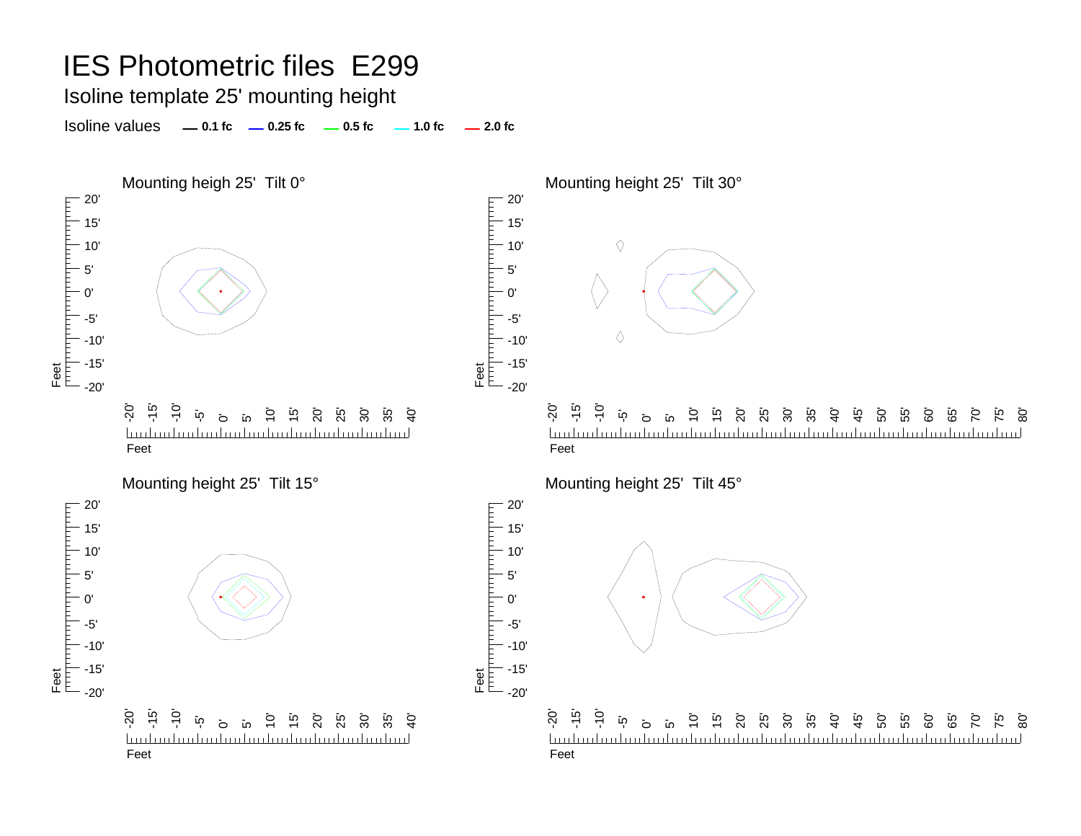### Isoline template 25' mounting height